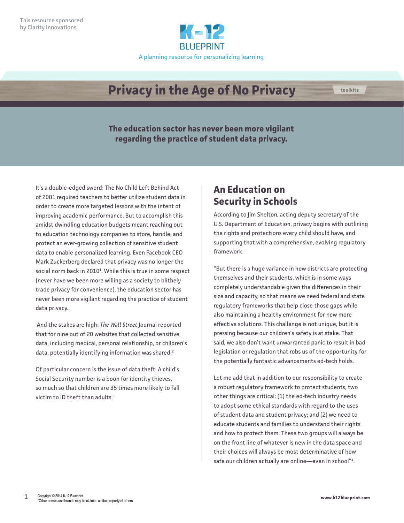

## **Privacy in the Age of No Privacy**

**The education sector has never been more vigilant regarding the practice of student data privacy.**

It's a double-edged sword: The No Child Left Behind Act of 2001 required teachers to better utilize student data in order to create more targeted lessons with the intent of improving academic performance. But to accomplish this amidst dwindling education budgets meant reaching out to education technology companies to store, handle, and protect an ever-growing collection of sensitive student data to enable personalized learning. Even Facebook CEO Mark Zuckerberg declared that privacy was no longer the social norm back in 2010<sup>1</sup>. While this is true in some respect (never have we been more willing as a society to blithely trade privacy for convenience), the education sector has never been more vigilant regarding the practice of student data privacy.

 And the stakes are high: *The Wall Street* Journal reported that for nine out of 20 websites that collected sensitive data, including medical, personal relationship, or children's data, potentially identifying information was shared.<sup>2</sup>

Of particular concern is the issue of data theft. A child's Social Security number is a boon for identity thieves, so much so that children are 35 times more likely to fall victim to ID theft than adults.<sup>3</sup>

## **An Education on Security in Schools**

According to Jim Shelton, acting deputy secretary of the U.S. Department of Education, privacy begins with outlining the rights and protections every child should have, and supporting that with a comprehensive, evolving regulatory framework.

"But there is a huge variance in how districts are protecting themselves and their students, which is in some ways completely understandable given the differences in their size and capacity, so that means we need federal and state regulatory frameworks that help close those gaps while also maintaining a healthy environment for new more effective solutions. This challenge is not unique, but it is pressing because our children's safety is at stake. That said, we also don't want unwarranted panic to result in bad legislation or regulation that robs us of the opportunity for the potentially fantastic advancements ed-tech holds.

Let me add that in addition to our responsibility to create a robust regulatory framework to protect students, two other things are critical: (1) the ed-tech industry needs to adopt some ethical standards with regard to the uses of student data and student privacy; and (2) we need to educate students and families to understand their rights and how to protect them. These two groups will always be on the front line of whatever is new in the data space and their choices will always be most determinative of how safe our children actually are online—even in school"<sup>4</sup> .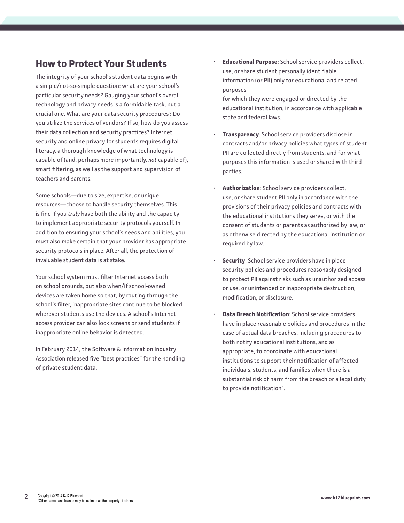## **How to Protect Your Students**

The integrity of your school's student data begins with a simple/not-so-simple question: what are your school's particular security needs? Gauging your school's overall technology and privacy needs is a formidable task, but a crucial one. What are your data security procedures? Do you utilize the services of vendors? If so, how do you assess their data collection and security practices? Internet security and online privacy for students requires digital literacy, a thorough knowledge of what technology is capable of (and, perhaps more importantly, *not* capable of), smart filtering, as well as the support and supervision of teachers and parents.

Some schools—due to size, expertise, or unique resources—choose to handle security themselves. This is fine if you *truly* have both the ability and the capacity to implement appropriate security protocols yourself. In addition to ensuring your school's needs and abilities, you must also make certain that your provider has appropriate security protocols in place. After all, the protection of invaluable student data is at stake.

Your school system must filter Internet access both on school grounds, but also when/if school-owned devices are taken home so that, by routing through the school's filter, inappropriate sites continue to be blocked wherever students use the devices. A school's Internet access provider can also lock screens or send students if inappropriate online behavior is detected.

In February 2014, the Software & Information Industry Association released five "best practices" for the handling of private student data:

• **Educational Purpose**: School service providers collect, use, or share student personally identifiable information (or PII) only for educational and related purposes

for which they were engaged or directed by the educational institution, in accordance with applicable state and federal laws.

- **Transparency**: School service providers disclose in contracts and/or privacy policies what types of student PII are collected directly from students, and for what purposes this information is used or shared with third parties.
- **Authorization**: School service providers collect, use, or share student PII only in accordance with the provisions of their privacy policies and contracts with the educational institutions they serve, or with the consent of students or parents as authorized by law, or as otherwise directed by the educational institution or required by law.
- **Security**: School service providers have in place security policies and procedures reasonably designed to protect PII against risks such as unauthorized access or use, or unintended or inappropriate destruction, modification, or disclosure.
- **Data Breach Notification**: School service providers have in place reasonable policies and procedures in the case of actual data breaches, including procedures to both notify educational institutions, and as appropriate, to coordinate with educational institutions to support their notification of affected individuals, students, and families when there is a substantial risk of harm from the breach or a legal duty to provide notification<sup>5</sup>.